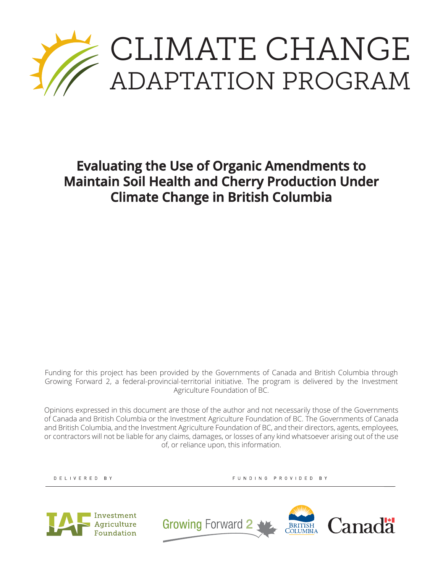

**Evaluating the Use of Organic Amendments to Maintain Soil Health and Cherry Production Under Climate Change in British Columbia**

Funding for this project has been provided by the Governments of Canada and British Columbia through Growing Forward 2, a federal-provincial-territorial initiative. The program is delivered by the Investment Agriculture Foundation of BC.

Opinions expressed in this document are those of the author and not necessarily those of the Governments of Canada and British Columbia or the Investment Agriculture Foundation of BC. The Governments of Canada and British Columbia, and the Investment Agriculture Foundation of BC, and their directors, agents, employees, or contractors will not be liable for any claims, damages, or losses of any kind whatsoever arising out of the use of, or reliance upon, this information.

DELIVERED BY

FUNDING PROVIDED BY



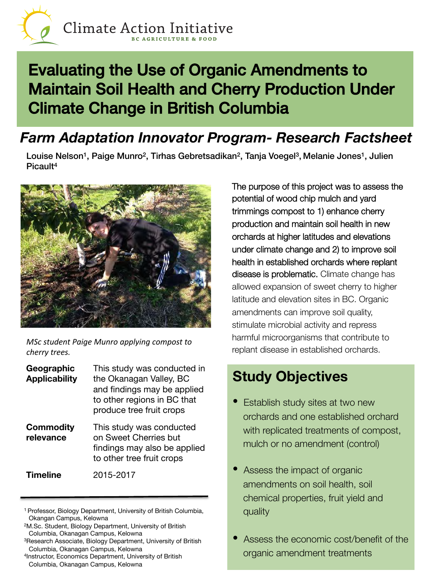

# Evaluating the Use of Organic Amendments to Maintain Soil Health and Cherry Production Under Climate Change in British Columbia!

#### *Farm Adaptation Innovator Program- Research Factsheet*

Louise Nelson<sup>1</sup>, Paige Munro<sup>2</sup>, Tirhas Gebretsadikan<sup>2</sup>, Tanja Voegel<sup>3</sup>, Melanie Jones<sup>1</sup>, Julien Picault4



*MSc* student Paige Munro applying compost to *cherry trees.* 

| Geographic<br><b>Applicability</b> | This study was conducted in<br>the Okanagan Valley, BC<br>and findings may be applied<br>to other regions in BC that<br>produce tree fruit crops |
|------------------------------------|--------------------------------------------------------------------------------------------------------------------------------------------------|
| <b>Commodity</b><br>relevance      | This study was conducted<br>on Sweet Cherries but<br>findings may also be applied<br>to other tree fruit crops                                   |
| <b>Timeline</b>                    | 2015-2017                                                                                                                                        |

- 1 Professor, Biology Department, University of British Columbia, Okangan Campus, Kelowna
- 2M.Sc. Student, Biology Department, University of British Columbia, Okanagan Campus, Kelowna
- 3Research Associate, Biology Department, University of British Columbia, Okanagan Campus, Kelowna
- 4Instructor, Economics Department, University of British Columbia, Okanagan Campus, Kelowna

The purpose of this project was to assess the potential of wood chip mulch and yard trimmings compost to 1) enhance cherry production and maintain soil health in new orchards at higher latitudes and elevations under climate change and 2) to improve soil health in established orchards where replant disease is problematic. Climate change has allowed expansion of sweet cherry to higher latitude and elevation sites in BC. Organic amendments can improve soil quality, stimulate microbial activity and repress harmful microorganisms that contribute to replant disease in established orchards.

## **Study Objectives**

- **Establish study sites at two new** orchards and one established orchard with replicated treatments of compost, mulch or no amendment (control)
- Assess the impact of organic amendments on soil health, soil chemical properties, fruit yield and quality
- Assess the economic cost/benefit of the organic amendment treatments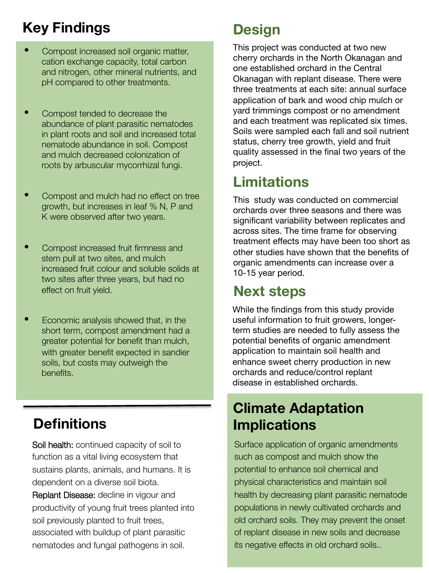## **Key Findings**

- Compost increased soil organic matter, cation exchange capacity, total carbon and nitrogen, other mineral nutrients, and pH compared to other treatments.
- Compost tended to decrease the abundance of plant parasitic nematodes in plant roots and soil and increased total nematode abundance in soil. Compost and mulch decreased colonization of roots by arbuscular mycorrhizal fungi.
- Compost and mulch had no effect on tree growth, but increases in leaf % N, P and K were observed after two years.
- Compost increased fruit firmness and stem pull at two sites, and mulch increased fruit colour and soluble solids at two sites after three years, but had no effect on fruit yield.
- Economic analysis showed that, in the short term, compost amendment had a greater potential for benefit than mulch, with greater benefit expected in sandier soils, but costs may outweigh the benefits.

## **Definitions**

Soil health: continued capacity of soil to function as a vital living ecosystem that sustains plants, animals, and humans. It is dependent on a diverse soil biota.

Replant Disease: decline in vigour and productivity of young fruit trees planted into soil previously planted to fruit trees, associated with buildup of plant parasitic nematodes and fungal pathogens in soil.

## **Design**

This project was conducted at two new cherry orchards in the North Okanagan and one established orchard in the Central Okanagan with replant disease. There were three treatments at each site: annual surface application of bark and wood chip mulch or yard trimmings compost or no amendment and each treatment was replicated six times. Soils were sampled each fall and soil nutrient status, cherry tree growth, yield and fruit quality assessed in the final two years of the project.

## **Limitations**

This study was conducted on commercial orchards over three seasons and there was significant variability between replicates and across sites. The time frame for observing treatment effects may have been too short as other studies have shown that the benefits of organic amendments can increase over a 10-15 year period.

## **Next steps**

While the findings from this study provide useful information to fruit growers, longerterm studies are needed to fully assess the potential benefits of organic amendment application to maintain soil health and enhance sweet cherry production in new orchards and reduce/control replant disease in established orchards.

### **Climate Adaptation Implications**

Surface application of organic amendments such as compost and mulch show the potential to enhance soil chemical and physical characteristics and maintain soil health by decreasing plant parasitic nematode populations in newly cultivated orchards and old orchard soils. They may prevent the onset of replant disease in new soils and decrease its negative effects in old orchard soils..